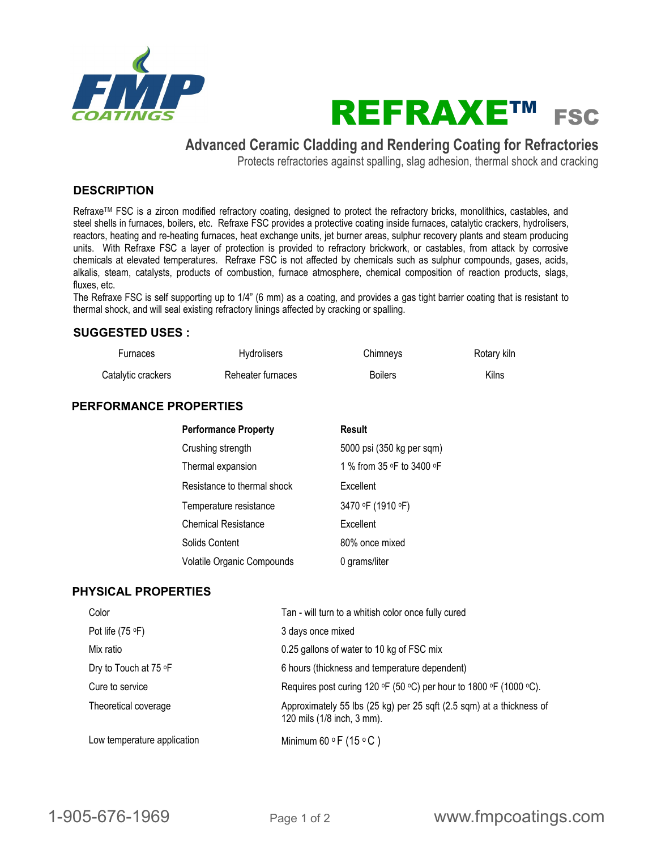



# **Advanced Ceramic Cladding and Rendering Coating for Refractories**

Protects refractories against spalling, slag adhesion, thermal shock and cracking

# **DESCRIPTION**

Refraxe™ FSC is a zircon modified refractory coating, designed to protect the refractory bricks, monolithics, castables, and steel shells in furnaces, boilers, etc. Refraxe FSC provides a protective coating inside furnaces, catalytic crackers, hydrolisers, reactors, heating and re-heating furnaces, heat exchange units, jet burner areas, sulphur recovery plants and steam producing units. With Refraxe FSC a layer of protection is provided to refractory brickwork, or castables, from attack by corrosive chemicals at elevated temperatures. Refraxe FSC is not affected by chemicals such as sulphur compounds, gases, acids, alkalis, steam, catalysts, products of combustion, furnace atmosphere, chemical composition of reaction products, slags, fluxes, etc.

The Refraxe FSC is self supporting up to 1/4" (6 mm) as a coating, and provides a gas tight barrier coating that is resistant to thermal shock, and will seal existing refractory linings affected by cracking or spalling.

# **SUGGESTED USES :**

| <b>Furnaces</b>    | <b>Hydrolisers</b> | Chimneys       | Rotary kiln |
|--------------------|--------------------|----------------|-------------|
| Catalytic crackers | Reheater furnaces  | <b>Boilers</b> | Kilns       |

# **PERFORMANCE PROPERTIES**

| <b>Performance Property</b> | <b>Result</b>             |
|-----------------------------|---------------------------|
| Crushing strength           | 5000 psi (350 kg per sqm) |
| Thermal expansion           | 1 % from 35 ∘F to 3400 ∘F |
| Resistance to thermal shock | Excellent                 |
| Temperature resistance      | 3470 °F (1910 °F)         |
| <b>Chemical Resistance</b>  | Excellent                 |
| Solids Content              | 80% once mixed            |
| Volatile Organic Compounds  | 0 grams/liter             |

# **PHYSICAL PROPERTIES**

| Color                       | Tan - will turn to a whitish color once fully cured                                                |
|-----------------------------|----------------------------------------------------------------------------------------------------|
| Pot life $(75 \text{ °F})$  | 3 days once mixed                                                                                  |
| Mix ratio                   | 0.25 gallons of water to 10 kg of FSC mix                                                          |
| Dry to Touch at 75 °F       | 6 hours (thickness and temperature dependent)                                                      |
| Cure to service             | Requires post curing 120 $\circ$ F (50 $\circ$ C) per hour to 1800 $\circ$ F (1000 $\circ$ C).     |
| Theoretical coverage        | Approximately 55 lbs (25 kg) per 25 sqft (2.5 sqm) at a thickness of<br>120 mils (1/8 inch, 3 mm). |
| Low temperature application | Minimum 60 $\circ$ F (15 $\circ$ C)                                                                |